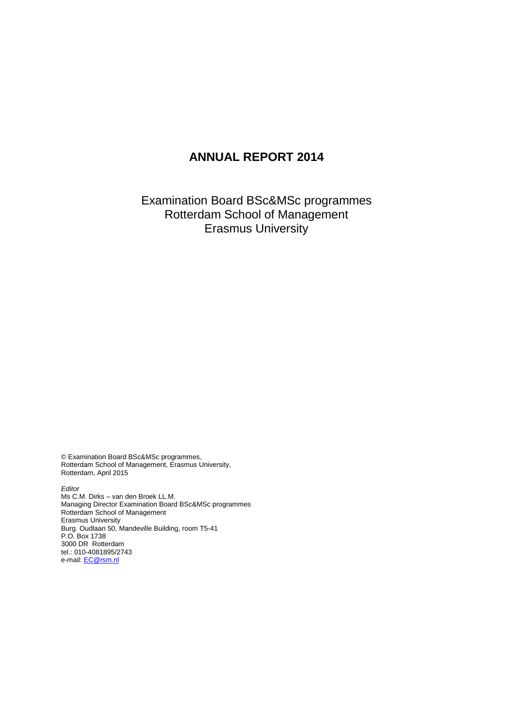# **ANNUAL REPORT 2014**

Examination Board BSc&MSc programmes Rotterdam School of Management Erasmus University

© Examination Board BSc&MSc programmes, Rotterdam School of Management, Erasmus University, Rotterdam, April 2015

*Editor* Ms C.M. Dirks – van den Broek LL.M. Managing Director Examination Board BSc&MSc programmes Rotterdam School of Management Erasmus University Burg. Oudlaan 50, Mandeville Building, room T5-41 P.O. Box 1738 3000 DR Rotterdam tel.: 010-4081895/2743 e-mail: <u>EC@rsm.nl</u>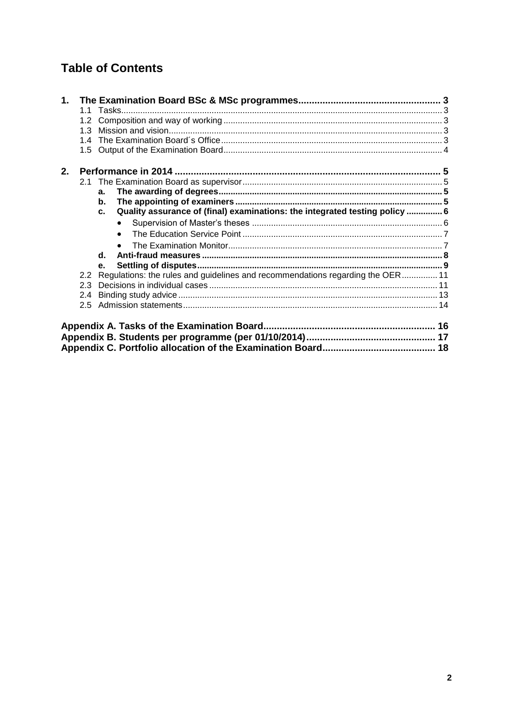# **Table of Contents**

| 2. |    |                                                                                    |  |
|----|----|------------------------------------------------------------------------------------|--|
|    | 21 |                                                                                    |  |
|    |    | a.                                                                                 |  |
|    |    | $\mathbf b$ .                                                                      |  |
|    |    | Quality assurance of (final) examinations: the integrated testing policy  6<br>c.  |  |
|    |    |                                                                                    |  |
|    |    |                                                                                    |  |
|    |    |                                                                                    |  |
|    |    | $\mathbf{d}$ .                                                                     |  |
|    |    | e.                                                                                 |  |
|    |    | 2.2 Regulations: the rules and guidelines and recommendations regarding the OER 11 |  |
|    |    |                                                                                    |  |
|    |    |                                                                                    |  |
|    |    |                                                                                    |  |
|    |    |                                                                                    |  |
|    |    |                                                                                    |  |
|    |    |                                                                                    |  |
|    |    |                                                                                    |  |
|    |    |                                                                                    |  |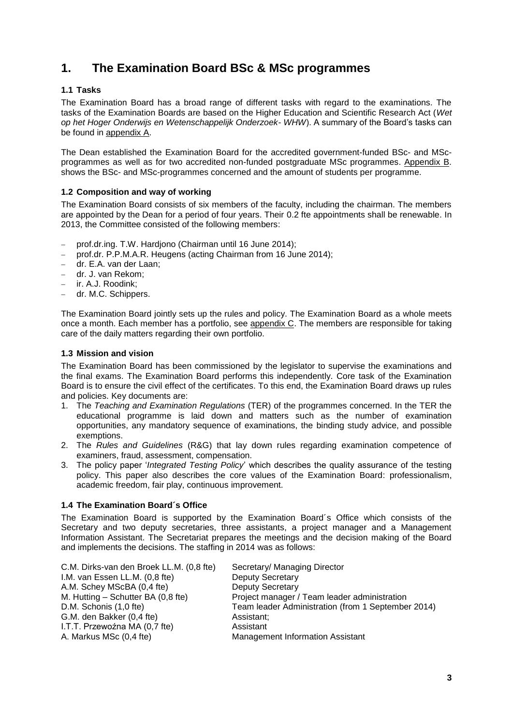# <span id="page-2-0"></span>**1. The Examination Board BSc & MSc programmes**

### <span id="page-2-1"></span>**1.1 Tasks**

The Examination Board has a broad range of different tasks with regard to the examinations. The tasks of the Examination Boards are based on the Higher Education and Scientific Research Act (*Wet op het Hoger Onderwijs en Wetenschappelijk Onderzoek- WHW*). A summary of the Board's tasks can be found in appendix A.

The Dean established the Examination Board for the accredited government-funded BSc- and MScprogrammes as well as for two accredited non-funded postgraduate MSc programmes. Appendix B. shows the BSc- and MSc-programmes concerned and the amount of students per programme.

#### <span id="page-2-2"></span>**1.2 Composition and way of working**

The Examination Board consists of six members of the faculty, including the chairman. The members are appointed by the Dean for a period of four years. Their 0.2 fte appointments shall be renewable. In 2013, the Committee consisted of the following members:

- prof.dr.ing. T.W. Hardjono (Chairman until 16 June 2014);
- prof.dr. P.P.M.A.R. Heugens (acting Chairman from 16 June 2014);
- dr. E.A. van der Laan;
- dr. J. van Rekom;
- ir. A.J. Roodink;
- dr. M.C. Schippers.

The Examination Board jointly sets up the rules and policy. The Examination Board as a whole meets once a month. Each member has a portfolio, see appendix C. The members are responsible for taking care of the daily matters regarding their own portfolio.

#### <span id="page-2-3"></span>**1.3 Mission and vision**

The Examination Board has been commissioned by the legislator to supervise the examinations and the final exams. The Examination Board performs this independently. Core task of the Examination Board is to ensure the civil effect of the certificates. To this end, the Examination Board draws up rules and policies. Key documents are:

- 1. The *Teaching and Examination Regulations* (TER) of the programmes concerned. In the TER the educational programme is laid down and matters such as the number of examination opportunities, any mandatory sequence of examinations, the binding study advice, and possible exemptions.
- 2. The *Rules and Guidelines* (R&G) that lay down rules regarding examination competence of examiners, fraud, assessment, compensation.
- 3. The policy paper '*Integrated Testing Policy*' which describes the quality assurance of the testing policy. This paper also describes the core values of the Examination Board: professionalism, academic freedom, fair play, continuous improvement.

#### <span id="page-2-4"></span>**1.4 The Examination Board´s Office**

The Examination Board is supported by the Examination Board´s Office which consists of the Secretary and two deputy secretaries, three assistants, a project manager and a Management Information Assistant. The Secretariat prepares the meetings and the decision making of the Board and implements the decisions. The staffing in 2014 was as follows:

| C.M. Dirks-van den Broek LL.M. (0,8 fte) | Secretary/ Managing Director                       |
|------------------------------------------|----------------------------------------------------|
| I.M. van Essen LL.M. (0,8 fte)           | <b>Deputy Secretary</b>                            |
| A.M. Schey MScBA (0,4 fte)               | <b>Deputy Secretary</b>                            |
| M. Hutting - Schutter BA (0,8 fte)       | Project manager / Team leader administration       |
| D.M. Schonis (1,0 fte)                   | Team leader Administration (from 1 September 2014) |
| G.M. den Bakker (0,4 fte)                | Assistant;                                         |
| I.T.T. Przewoźna MA (0,7 fte)            | Assistant                                          |
| A. Markus MSc (0,4 fte)                  | <b>Management Information Assistant</b>            |
|                                          |                                                    |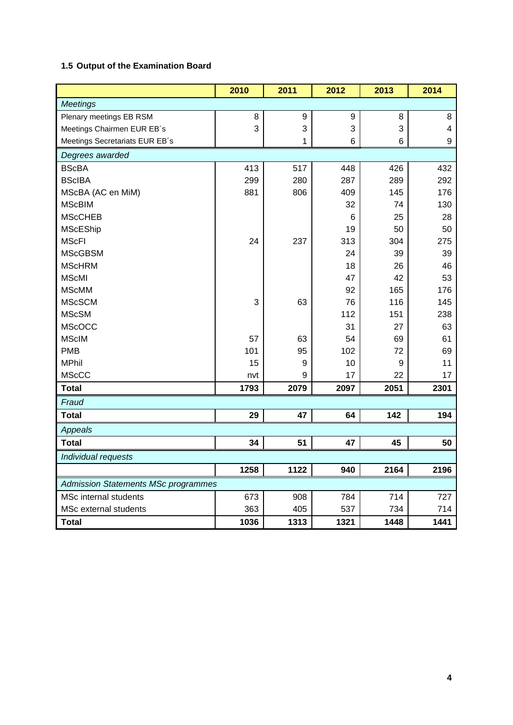## <span id="page-3-0"></span>**1.5 Output of the Examination Board**

|                                            | 2010 | 2011 | 2012 | 2013 | 2014 |  |  |  |  |
|--------------------------------------------|------|------|------|------|------|--|--|--|--|
| <b>Meetings</b>                            |      |      |      |      |      |  |  |  |  |
| Plenary meetings EB RSM                    | 8    | 9    | 9    | 8    | 8    |  |  |  |  |
| Meetings Chairmen EUR EB's                 | 3    | 3    | 3    | 3    | 4    |  |  |  |  |
| Meetings Secretariats EUR EB's             |      | 1    | 6    | 6    | 9    |  |  |  |  |
| Degrees awarded                            |      |      |      |      |      |  |  |  |  |
| <b>BScBA</b>                               | 413  | 517  | 448  | 426  | 432  |  |  |  |  |
| <b>BScIBA</b>                              | 299  | 280  | 287  | 289  | 292  |  |  |  |  |
| MScBA (AC en MiM)                          | 881  | 806  | 409  | 145  | 176  |  |  |  |  |
| <b>MScBIM</b>                              |      |      | 32   | 74   | 130  |  |  |  |  |
| <b>MScCHEB</b>                             |      |      | 6    | 25   | 28   |  |  |  |  |
| <b>MScEShip</b>                            |      |      | 19   | 50   | 50   |  |  |  |  |
| <b>MScFI</b>                               | 24   | 237  | 313  | 304  | 275  |  |  |  |  |
| <b>MScGBSM</b>                             |      |      | 24   | 39   | 39   |  |  |  |  |
| <b>MScHRM</b>                              |      |      | 18   | 26   | 46   |  |  |  |  |
| <b>MScMI</b>                               |      |      | 47   | 42   | 53   |  |  |  |  |
| <b>MScMM</b>                               |      |      | 92   | 165  | 176  |  |  |  |  |
| <b>MScSCM</b>                              | 3    | 63   | 76   | 116  | 145  |  |  |  |  |
| <b>MScSM</b>                               |      |      | 112  | 151  | 238  |  |  |  |  |
| <b>MScOCC</b>                              |      |      | 31   | 27   | 63   |  |  |  |  |
| <b>MScIM</b>                               | 57   | 63   | 54   | 69   | 61   |  |  |  |  |
| <b>PMB</b>                                 | 101  | 95   | 102  | 72   | 69   |  |  |  |  |
| <b>MPhil</b>                               | 15   | 9    | 10   | 9    | 11   |  |  |  |  |
| <b>MScCC</b>                               | nvt  | 9    | 17   | 22   | 17   |  |  |  |  |
| <b>Total</b>                               | 1793 | 2079 | 2097 | 2051 | 2301 |  |  |  |  |
| Fraud                                      |      |      |      |      |      |  |  |  |  |
| <b>Total</b>                               | 29   | 47   | 64   | 142  | 194  |  |  |  |  |
| <b>Appeals</b>                             |      |      |      |      |      |  |  |  |  |
| <b>Total</b>                               | 34   | 51   | 47   | 45   | 50   |  |  |  |  |
| Individual requests                        |      |      |      |      |      |  |  |  |  |
|                                            | 1258 | 1122 | 940  | 2164 | 2196 |  |  |  |  |
| <b>Admission Statements MSc programmes</b> |      |      |      |      |      |  |  |  |  |
| <b>MSc internal students</b>               | 673  | 908  | 784  | 714  | 727  |  |  |  |  |
| MSc external students                      | 363  | 405  | 537  | 734  | 714  |  |  |  |  |
| <b>Total</b>                               | 1036 | 1313 | 1321 | 1448 | 1441 |  |  |  |  |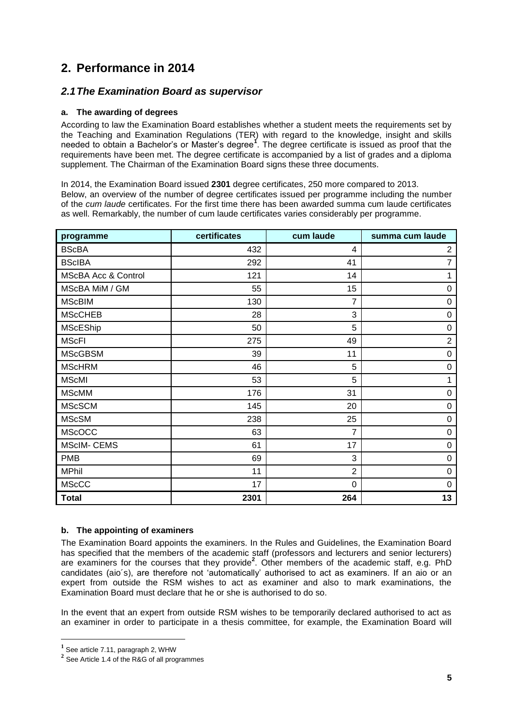# <span id="page-4-0"></span>**2. Performance in 2014**

## <span id="page-4-1"></span>*2.1The Examination Board as supervisor*

### <span id="page-4-2"></span>**a. The awarding of degrees**

According to law the Examination Board establishes whether a student meets the requirements set by the Teaching and Examination Regulations (TER) with regard to the knowledge, insight and skills needed to obtain a Bachelor's or Master's degree**<sup>1</sup>** . The degree certificate is issued as proof that the requirements have been met. The degree certificate is accompanied by a list of grades and a diploma supplement. The Chairman of the Examination Board signs these three documents.

In 2014, the Examination Board issued **2301** degree certificates, 250 more compared to 2013. Below, an overview of the number of degree certificates issued per programme including the number of the *cum laude* certificates. For the first time there has been awarded summa cum laude certificates as well. Remarkably, the number of cum laude certificates varies considerably per programme.

| programme                      | certificates | cum laude      | summa cum laude  |
|--------------------------------|--------------|----------------|------------------|
| <b>BScBA</b>                   | 432          | 4              | $\overline{c}$   |
| <b>BScIBA</b>                  | 292          | 41             | $\overline{7}$   |
| <b>MScBA Acc &amp; Control</b> | 121          | 14             |                  |
| MScBA MiM / GM                 | 55           | 15             | $\pmb{0}$        |
| <b>MScBIM</b>                  | 130          | 7              | 0                |
| <b>MScCHEB</b>                 | 28           | 3              | $\boldsymbol{0}$ |
| <b>MScEShip</b>                | 50           | 5              | 0                |
| <b>MScFI</b>                   | 275          | 49             | $\overline{2}$   |
| <b>MScGBSM</b>                 | 39           | 11             | $\boldsymbol{0}$ |
| <b>MScHRM</b>                  | 46           | 5              | $\pmb{0}$        |
| <b>MScMI</b>                   | 53           | 5              | 1                |
| <b>MScMM</b>                   | 176          | 31             | $\pmb{0}$        |
| <b>MScSCM</b>                  | 145          | 20             | $\pmb{0}$        |
| <b>MScSM</b>                   | 238          | 25             | $\pmb{0}$        |
| <b>MScOCC</b>                  | 63           | 7              | 0                |
| <b>MScIM- CEMS</b>             | 61           | 17             | $\pmb{0}$        |
| <b>PMB</b>                     | 69           | 3              | $\pmb{0}$        |
| <b>MPhil</b>                   | 11           | $\overline{2}$ | $\pmb{0}$        |
| <b>MScCC</b>                   | 17           | 0              | $\mathbf 0$      |
| <b>Total</b>                   | 2301         | 264            | 13               |

#### <span id="page-4-3"></span>**b. The appointing of examiners**

The Examination Board appoints the examiners. In the Rules and Guidelines, the Examination Board has specified that the members of the academic staff (professors and lecturers and senior lecturers) are examiners for the courses that they provide<sup>2</sup>. Other members of the academic staff, e.g. PhD candidates (aio´s), are therefore not 'automatically' authorised to act as examiners. If an aio or an expert from outside the RSM wishes to act as examiner and also to mark examinations, the Examination Board must declare that he or she is authorised to do so.

In the event that an expert from outside RSM wishes to be temporarily declared authorised to act as an examiner in order to participate in a thesis committee, for example, the Examination Board will

 $\overline{a}$ 

**<sup>1</sup>** See article 7.11, paragraph 2, WHW

**<sup>2</sup>** See Article 1.4 of the R&G of all programmes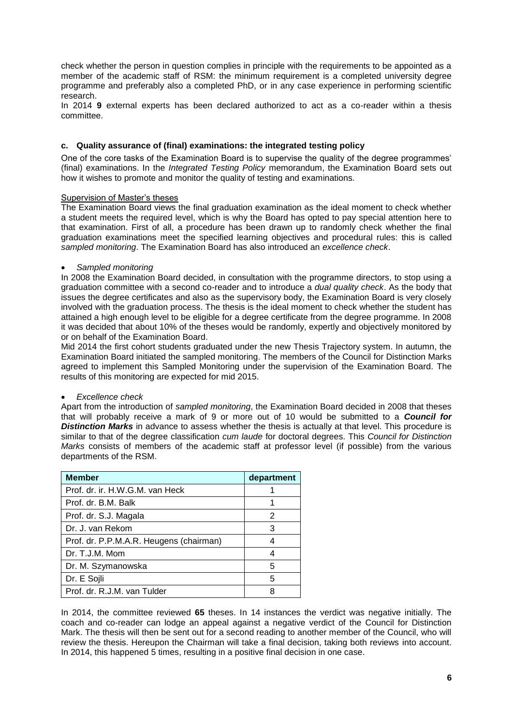check whether the person in question complies in principle with the requirements to be appointed as a member of the academic staff of RSM: the minimum requirement is a completed university degree programme and preferably also a completed PhD, or in any case experience in performing scientific research.

In 2014 **9** external experts has been declared authorized to act as a co-reader within a thesis committee.

#### <span id="page-5-0"></span>**c. Quality assurance of (final) examinations: the integrated testing policy**

One of the core tasks of the Examination Board is to supervise the quality of the degree programmes' (final) examinations. In the *Integrated Testing Policy* memorandum, the Examination Board sets out how it wishes to promote and monitor the quality of testing and examinations.

#### <span id="page-5-1"></span>Supervision of Master's theses

The Examination Board views the final graduation examination as the ideal moment to check whether a student meets the required level, which is why the Board has opted to pay special attention here to that examination. First of all, a procedure has been drawn up to randomly check whether the final graduation examinations meet the specified learning objectives and procedural rules: this is called *sampled monitoring*. The Examination Board has also introduced an *excellence check*.

#### *Sampled monitoring*

In 2008 the Examination Board decided, in consultation with the programme directors, to stop using a graduation committee with a second co-reader and to introduce a *dual quality check*. As the body that issues the degree certificates and also as the supervisory body, the Examination Board is very closely involved with the graduation process. The thesis is the ideal moment to check whether the student has attained a high enough level to be eligible for a degree certificate from the degree programme. In 2008 it was decided that about 10% of the theses would be randomly, expertly and objectively monitored by or on behalf of the Examination Board.

Mid 2014 the first cohort students graduated under the new Thesis Trajectory system. In autumn, the Examination Board initiated the sampled monitoring. The members of the Council for Distinction Marks agreed to implement this Sampled Monitoring under the supervision of the Examination Board. The results of this monitoring are expected for mid 2015.

#### *Excellence check*

Apart from the introduction of *sampled monitoring*, the Examination Board decided in 2008 that theses that will probably receive a mark of 9 or more out of 10 would be submitted to a *Council for*  **Distinction Marks** in advance to assess whether the thesis is actually at that level. This procedure is similar to that of the degree classification *cum laude* for doctoral degrees. This *Council for Distinction Marks* consists of members of the academic staff at professor level (if possible) from the various departments of the RSM.

| <b>Member</b>                           | department |
|-----------------------------------------|------------|
| Prof. dr. ir. H.W.G.M. van Heck         |            |
| Prof. dr. B.M. Balk                     |            |
| Prof. dr. S.J. Magala                   | 2          |
| Dr. J. van Rekom                        | 3          |
| Prof. dr. P.P.M.A.R. Heugens (chairman) |            |
| Dr. T.J.M. Mom                          |            |
| Dr. M. Szymanowska                      | 5          |
| Dr. E Sojli                             | 5          |
| Prof. dr. R.J.M. van Tulder             | 8          |

In 2014, the committee reviewed **65** theses. In 14 instances the verdict was negative initially. The coach and co-reader can lodge an appeal against a negative verdict of the Council for Distinction Mark. The thesis will then be sent out for a second reading to another member of the Council, who will review the thesis. Hereupon the Chairman will take a final decision, taking both reviews into account. In 2014, this happened 5 times, resulting in a positive final decision in one case.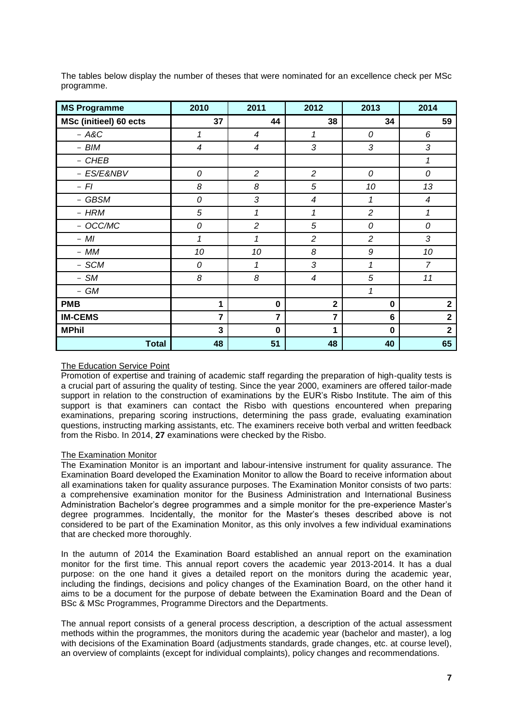| <b>MS Programme</b>           | 2010           | 2011             | 2012                     | 2013           | 2014                     |
|-------------------------------|----------------|------------------|--------------------------|----------------|--------------------------|
| <b>MSc (initieel) 60 ects</b> | 37             | 44               | 38                       | 34             | 59                       |
| $-$ A&C                       | 1              | $\boldsymbol{4}$ | 1                        | 0              | 6                        |
| - BIM                         | $\overline{4}$ | $\overline{4}$   | 3                        | 3              | 3                        |
| - CHEB                        |                |                  |                          |                | 1                        |
| - ES/E&NBV                    | 0              | $\overline{c}$   | $\overline{c}$           | 0              | 0                        |
| $-$ FI                        | 8              | 8                | 5                        | 10             | 13                       |
| - GBSM                        | 0              | 3                | $\overline{\mathcal{A}}$ | 1              | $\overline{\mathcal{A}}$ |
| - HRM                         | 5              | 1                | 1                        | $\overline{c}$ | 1                        |
| - OCC/MC                      | 0              | $\overline{c}$   | 5                        | 0              | 0                        |
| $- MI$                        | $\mathcal I$   | 1                | $\overline{c}$           | $\overline{c}$ | 3                        |
| $- MM$                        | 10             | 10               | 8                        | 9              | 10                       |
| - SCM                         | 0              | 1                | 3                        | 1              | $\overline{7}$           |
| $-$ SM                        | 8              | 8                | $\overline{\mathcal{A}}$ | 5              | 11                       |
| - GM                          |                |                  |                          | 1              |                          |
| <b>PMB</b>                    | 1              | $\mathbf 0$      | $\mathbf 2$              | $\mathbf 0$    | $\mathbf{2}$             |
| <b>IM-CEMS</b>                | $\overline{7}$ | 7                | $\overline{7}$           | 6              | $\overline{\mathbf{2}}$  |
| <b>MPhil</b>                  | 3              | $\mathbf 0$      | 1                        | $\mathbf 0$    | $\overline{\mathbf{2}}$  |
| <b>Total</b>                  | 48             | 51               | 48                       | 40             | 65                       |

The tables below display the number of theses that were nominated for an excellence check per MSc programme.

#### <span id="page-6-0"></span>The Education Service Point

Promotion of expertise and training of academic staff regarding the preparation of high-quality tests is a crucial part of assuring the quality of testing. Since the year 2000, examiners are offered tailor-made support in relation to the construction of examinations by the EUR's Risbo Institute. The aim of this support is that examiners can contact the Risbo with questions encountered when preparing examinations, preparing scoring instructions, determining the pass grade, evaluating examination questions, instructing marking assistants, etc. The examiners receive both verbal and written feedback from the Risbo. In 2014, **27** examinations were checked by the Risbo.

#### <span id="page-6-1"></span>The Examination Monitor

The Examination Monitor is an important and labour-intensive instrument for quality assurance. The Examination Board developed the Examination Monitor to allow the Board to receive information about all examinations taken for quality assurance purposes. The Examination Monitor consists of two parts: a comprehensive examination monitor for the Business Administration and International Business Administration Bachelor's degree programmes and a simple monitor for the pre-experience Master's degree programmes. Incidentally, the monitor for the Master's theses described above is not considered to be part of the Examination Monitor, as this only involves a few individual examinations that are checked more thoroughly.

In the autumn of 2014 the Examination Board established an annual report on the examination monitor for the first time. This annual report covers the academic year 2013-2014. It has a dual purpose: on the one hand it gives a detailed report on the monitors during the academic year, including the findings, decisions and policy changes of the Examination Board, on the other hand it aims to be a document for the purpose of debate between the Examination Board and the Dean of BSc & MSc Programmes, Programme Directors and the Departments.

The annual report consists of a general process description, a description of the actual assessment methods within the programmes, the monitors during the academic year (bachelor and master), a log with decisions of the Examination Board (adjustments standards, grade changes, etc. at course level), an overview of complaints (except for individual complaints), policy changes and recommendations.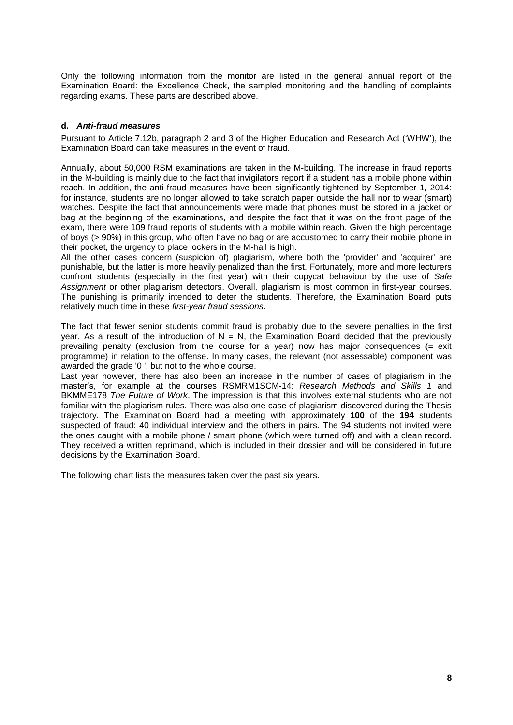Only the following information from the monitor are listed in the general annual report of the Examination Board: the Excellence Check, the sampled monitoring and the handling of complaints regarding exams. These parts are described above.

#### <span id="page-7-0"></span>**d.** *Anti-fraud measures*

Pursuant to Article 7.12b, paragraph 2 and 3 of the Higher Education and Research Act ('WHW'), the Examination Board can take measures in the event of fraud.

Annually, about 50,000 RSM examinations are taken in the M-building. The increase in fraud reports in the M-building is mainly due to the fact that invigilators report if a student has a mobile phone within reach. In addition, the anti-fraud measures have been significantly tightened by September 1, 2014: for instance, students are no longer allowed to take scratch paper outside the hall nor to wear (smart) watches. Despite the fact that announcements were made that phones must be stored in a jacket or bag at the beginning of the examinations, and despite the fact that it was on the front page of the exam, there were 109 fraud reports of students with a mobile within reach. Given the high percentage of boys (> 90%) in this group, who often have no bag or are accustomed to carry their mobile phone in their pocket, the urgency to place lockers in the M-hall is high.

All the other cases concern (suspicion of) plagiarism, where both the 'provider' and 'acquirer' are punishable, but the latter is more heavily penalized than the first. Fortunately, more and more lecturers confront students (especially in the first year) with their copycat behaviour by the use of *Safe Assignment* or other plagiarism detectors. Overall, plagiarism is most common in first-year courses. The punishing is primarily intended to deter the students. Therefore, the Examination Board puts relatively much time in these *first-year fraud sessions*.

The fact that fewer senior students commit fraud is probably due to the severe penalties in the first year. As a result of the introduction of  $N = N$ , the Examination Board decided that the previously prevailing penalty (exclusion from the course for a year) now has major consequences  $(= e^{i\theta})$ programme) in relation to the offense. In many cases, the relevant (not assessable) component was awarded the grade '0 ', but not to the whole course.

Last year however, there has also been an increase in the number of cases of plagiarism in the master's, for example at the courses RSMRM1SCM-14: *Research Methods and Skills 1* and BKMME178 *The Future of Work*. The impression is that this involves external students who are not familiar with the plagiarism rules. There was also one case of plagiarism discovered during the Thesis trajectory. The Examination Board had a meeting with approximately **100** of the **194** students suspected of fraud: 40 individual interview and the others in pairs. The 94 students not invited were the ones caught with a mobile phone / smart phone (which were turned off) and with a clean record. They received a written reprimand, which is included in their dossier and will be considered in future decisions by the Examination Board.

The following chart lists the measures taken over the past six years.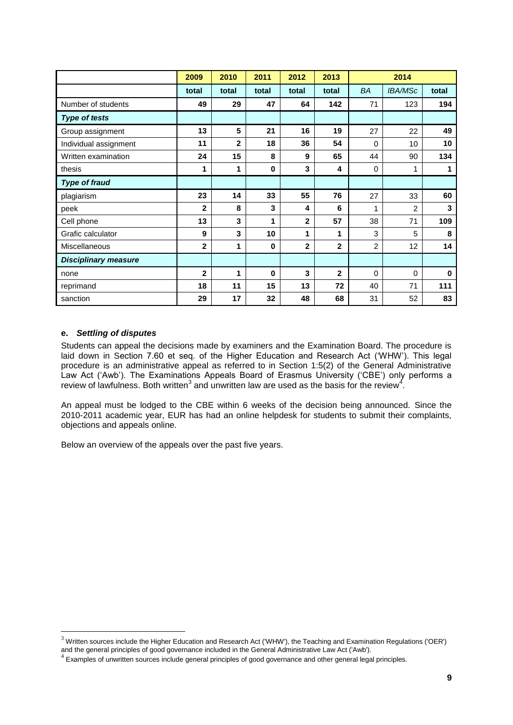|                             | 2009         | 2010         | 2011        | 2012         | 2013           |                | 2014           |          |
|-----------------------------|--------------|--------------|-------------|--------------|----------------|----------------|----------------|----------|
|                             | total        | total        | total       | total        | total          | BA             | <b>IBA/MSc</b> | total    |
| Number of students          | 49           | 29           | 47          | 64           | 142            | 71             | 123            | 194      |
| <b>Type of tests</b>        |              |              |             |              |                |                |                |          |
| Group assignment            | 13           | 5            | 21          | 16           | 19             | 27             | 22             | 49       |
| Individual assignment       | 11           | $\mathbf{2}$ | 18          | 36           | 54             | $\Omega$       | 10             | 10       |
| Written examination         | 24           | 15           | 8           | 9            | 65             | 44             | 90             | 134      |
| thesis                      | 1            | 1            | $\mathbf 0$ | 3            | 4              | $\Omega$       | 1              | 1        |
| <b>Type of fraud</b>        |              |              |             |              |                |                |                |          |
| plagiarism                  | 23           | 14           | 33          | 55           | 76             | 27             | 33             | 60       |
| peek                        | $\mathbf{2}$ | 8            | 3           | 4            | 6              | 1              | $\overline{2}$ | 3        |
| Cell phone                  | 13           | 3            | 1           | $\mathbf{2}$ | 57             | 38             | 71             | 109      |
| Grafic calculator           | 9            | 3            | 10          | 1            | 1              | 3              | 5              | 8        |
| <b>Miscellaneous</b>        | $\mathbf{2}$ | 1            | $\bf{0}$    | $\mathbf{2}$ | $\mathbf{2}$   | $\overline{2}$ | 12             | 14       |
| <b>Disciplinary measure</b> |              |              |             |              |                |                |                |          |
| none                        | $\mathbf{2}$ | 1            | $\bf{0}$    | 3            | $\overline{2}$ | $\Omega$       | $\mathbf 0$    | $\bf{0}$ |
| reprimand                   | 18           | 11           | 15          | 13           | 72             | 40             | 71             | 111      |
| sanction                    | 29           | 17           | 32          | 48           | 68             | 31             | 52             | 83       |

#### <span id="page-8-0"></span>**e.** *Settling of disputes*

 $\overline{a}$ 

Students can appeal the decisions made by examiners and the Examination Board. The procedure is laid down in Section 7.60 et seq. of the Higher Education and Research Act ('WHW'). This legal procedure is an administrative appeal as referred to in Section 1:5(2) of the General Administrative Law Act ('Awb'). The Examinations Appeals Board of Erasmus University ('CBE') only performs a review of lawfulness. Both written<sup>3</sup> and unwritten law are used as the basis for the review<sup>4</sup>.

An appeal must be lodged to the CBE within 6 weeks of the decision being announced. Since the 2010-2011 academic year, EUR has had an online helpdesk for students to submit their complaints, objections and appeals online.

Below an overview of the appeals over the past five years.

 $3$  Written sources include the Higher Education and Research Act ('WHW'), the Teaching and Examination Regulations ('OER') and the general principles of good governance included in the General Administrative Law Act ('Awb').

<sup>&</sup>lt;sup>4</sup> Examples of unwritten sources include general principles of good governance and other general legal principles.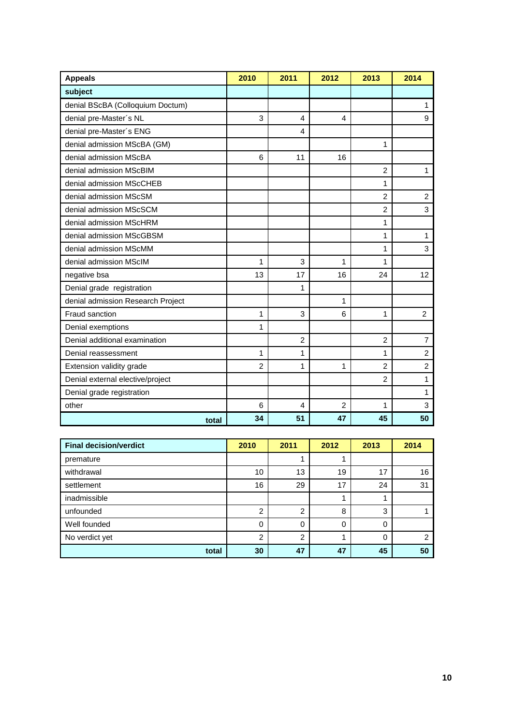| <b>Appeals</b>                    | 2010           | 2011           | 2012 | 2013           | 2014           |
|-----------------------------------|----------------|----------------|------|----------------|----------------|
| subject                           |                |                |      |                |                |
| denial BScBA (Colloquium Doctum)  |                |                |      |                | 1              |
| denial pre-Master's NL            | 3              | 4              | 4    |                | 9              |
| denial pre-Master's ENG           |                | 4              |      |                |                |
| denial admission MScBA (GM)       |                |                |      | 1              |                |
| denial admission MScBA            | 6              | 11             | 16   |                |                |
| denial admission MScBIM           |                |                |      | $\overline{2}$ | 1              |
| denial admission MScCHEB          |                |                |      | 1              |                |
| denial admission MScSM            |                |                |      | $\overline{2}$ | $\overline{c}$ |
| denial admission MScSCM           |                |                |      | $\overline{2}$ | 3              |
| denial admission MScHRM           |                |                |      | 1              |                |
| denial admission MScGBSM          |                |                |      | 1              | $\mathbf{1}$   |
| denial admission MScMM            |                |                |      | 1              | 3              |
| denial admission MScIM            | 1              | 3              | 1    | 1              |                |
| negative bsa                      | 13             | 17             | 16   | 24             | 12             |
| Denial grade registration         |                | 1              |      |                |                |
| denial admission Research Project |                |                | 1    |                |                |
| Fraud sanction                    | 1              | 3              | 6    | 1              | 2              |
| Denial exemptions                 | 1              |                |      |                |                |
| Denial additional examination     |                | $\overline{2}$ |      | $\overline{c}$ | $\overline{7}$ |
| Denial reassessment               | 1              | 1              |      | 1              | $\overline{c}$ |
| Extension validity grade          | $\overline{c}$ | 1              | 1    | $\overline{2}$ | $\overline{2}$ |
| Denial external elective/project  |                |                |      | $\overline{2}$ | 1              |
| Denial grade registration         |                |                |      |                | 1              |
| other                             | 6              | 4              | 2    | 1              | 3              |
| total                             | 34             | 51             | 47   | 45             | 50             |

| <b>Final decision/verdict</b> | 2010 | 2011           | 2012 | 2013 | 2014 |
|-------------------------------|------|----------------|------|------|------|
| premature                     |      |                |      |      |      |
| withdrawal                    | 10   | 13             | 19   | 17   | 16   |
| settlement                    | 16   | 29             | 17   | 24   | 31   |
| inadmissible                  |      |                |      |      |      |
| unfounded                     | 2    | $\overline{2}$ | 8    | 3    |      |
| Well founded                  | 0    | $\Omega$       | 0    | 0    |      |
| No verdict yet                | 2    | $\overline{2}$ |      | 0    | っ    |
| total                         | 30   | 47             | 47   | 45   | 50   |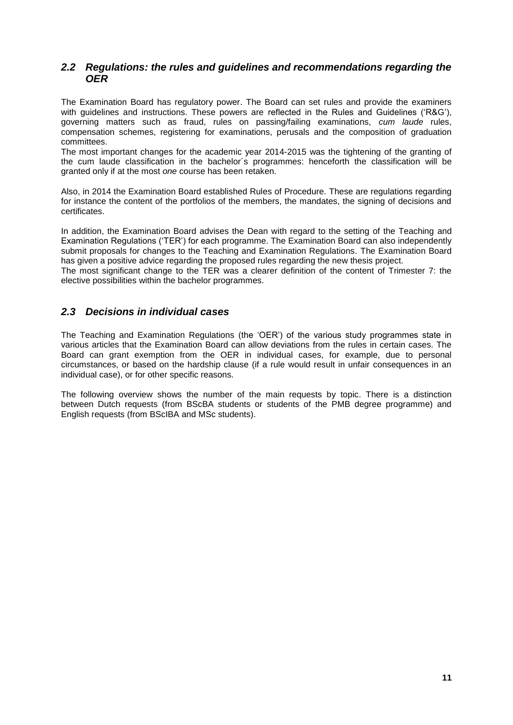### <span id="page-10-0"></span>*2.2 Regulations: the rules and guidelines and recommendations regarding the OER*

The Examination Board has regulatory power. The Board can set rules and provide the examiners with guidelines and instructions. These powers are reflected in the Rules and Guidelines ('R&G'), governing matters such as fraud, rules on passing/failing examinations, *cum laude* rules, compensation schemes, registering for examinations, perusals and the composition of graduation committees.

The most important changes for the academic year 2014-2015 was the tightening of the granting of the cum laude classification in the bachelor´s programmes: henceforth the classification will be granted only if at the most *one* course has been retaken.

Also, in 2014 the Examination Board established Rules of Procedure. These are regulations regarding for instance the content of the portfolios of the members, the mandates, the signing of decisions and certificates.

In addition, the Examination Board advises the Dean with regard to the setting of the Teaching and Examination Regulations ('TER') for each programme. The Examination Board can also independently submit proposals for changes to the Teaching and Examination Regulations. The Examination Board has given a positive advice regarding the proposed rules regarding the new thesis project.

The most significant change to the TER was a clearer definition of the content of Trimester 7: the elective possibilities within the bachelor programmes.

### <span id="page-10-1"></span>*2.3 Decisions in individual cases*

The Teaching and Examination Regulations (the 'OER') of the various study programmes state in various articles that the Examination Board can allow deviations from the rules in certain cases. The Board can grant exemption from the OER in individual cases, for example, due to personal circumstances, or based on the hardship clause (if a rule would result in unfair consequences in an individual case), or for other specific reasons.

The following overview shows the number of the main requests by topic. There is a distinction between Dutch requests (from BScBA students or students of the PMB degree programme) and English requests (from BScIBA and MSc students).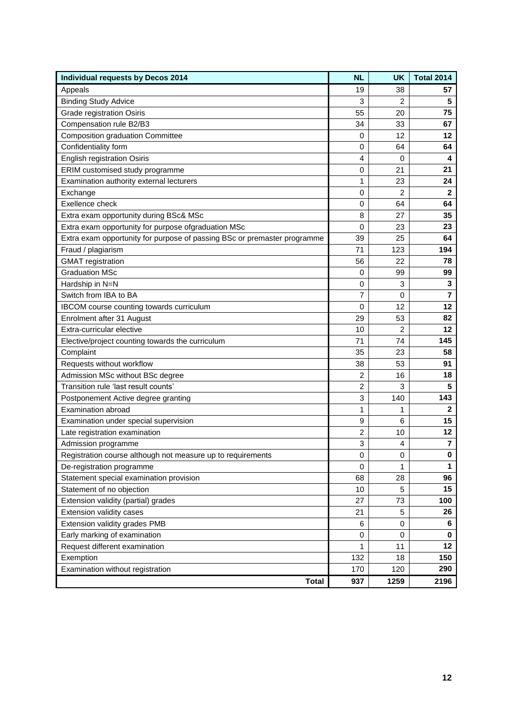| <b>Individual requests by Decos 2014</b>                                 | <b>NL</b>        | <b>UK</b> | <b>Total 2014</b>       |
|--------------------------------------------------------------------------|------------------|-----------|-------------------------|
| Appeals                                                                  | 19               | 38        | 57                      |
| <b>Binding Study Advice</b>                                              | 3                | 2         | 5                       |
| Grade registration Osiris                                                | 55               | 20        | 75                      |
| Compensation rule B2/B3                                                  | 34               | 33        | 67                      |
| <b>Composition graduation Committee</b>                                  | 0                | 12        | 12                      |
| Confidentiality form                                                     | 0                | 64        | 64                      |
| <b>English registration Osiris</b>                                       | 4                | 0         | 4                       |
| ERIM customised study programme                                          | 0                | 21        | 21                      |
| Examination authority external lecturers                                 | 1                | 23        | 24                      |
| Exchange                                                                 | 0                | 2         | $\mathbf{2}$            |
| Exellence check                                                          | 0                | 64        | 64                      |
| Extra exam opportunity during BSc& MSc                                   | 8                | 27        | 35                      |
| Extra exam opportunity for purpose ofgraduation MSc                      | 0                | 23        | 23                      |
| Extra exam opportunity for purpose of passing BSc or premaster programme | 39               | 25        | 64                      |
| Fraud / plagiarism                                                       | 71               | 123       | 194                     |
| <b>GMAT</b> registration                                                 | 56               | 22        | 78                      |
| <b>Graduation MSc</b>                                                    | 0                | 99        | 99                      |
| Hardship in N=N                                                          | 0                | 3         | 3                       |
| Switch from IBA to BA                                                    | 7                | 0         | 7                       |
| IBCOM course counting towards curriculum                                 | 0                | 12        | 12                      |
| Enrolment after 31 August                                                | 29               | 53        | 82                      |
| Extra-curricular elective                                                | 10               | 2         | 12                      |
| Elective/project counting towards the curriculum                         | 71               | 74        | 145                     |
| Complaint                                                                | 35               | 23        | 58                      |
| Requests without workflow                                                | 38               | 53        | 91                      |
| Admission MSc without BSc degree                                         | 2                | 16        | 18                      |
| Transition rule 'last result counts'                                     | 2                | 3         | 5                       |
| Postponement Active degree granting                                      | 3                | 140       | 143                     |
| <b>Examination abroad</b>                                                | 1                | 1         | $\mathbf{2}$            |
| Examination under special supervision                                    | $\boldsymbol{9}$ | 6         | 15                      |
| Late registration examination                                            | $\overline{2}$   | 10        | 12                      |
| Admission programme                                                      | 3                | 4         | $\overline{\mathbf{r}}$ |
| Registration course although not measure up to requirements              | 0                | 0         | $\pmb{0}$               |
| De-registration programme                                                | 0                | 1         | $\mathbf{1}$            |
| Statement special examination provision                                  | 68               | 28        | 96                      |
| Statement of no objection                                                | 10               | 5         | 15                      |
| Extension validity (partial) grades                                      | 27               | 73        | 100                     |
| Extension validity cases                                                 | 21               | 5         | 26                      |
| Extension validity grades PMB                                            | 6                | 0         | 6                       |
| Early marking of examination                                             | 0                | 0         | 0                       |
| Request different examination                                            | 1                | 11        | 12                      |
| Exemption                                                                | 132              | 18        | 150                     |
| Examination without registration                                         | 170              | 120       | 290                     |
| <b>Total</b>                                                             | 937              | 1259      | 2196                    |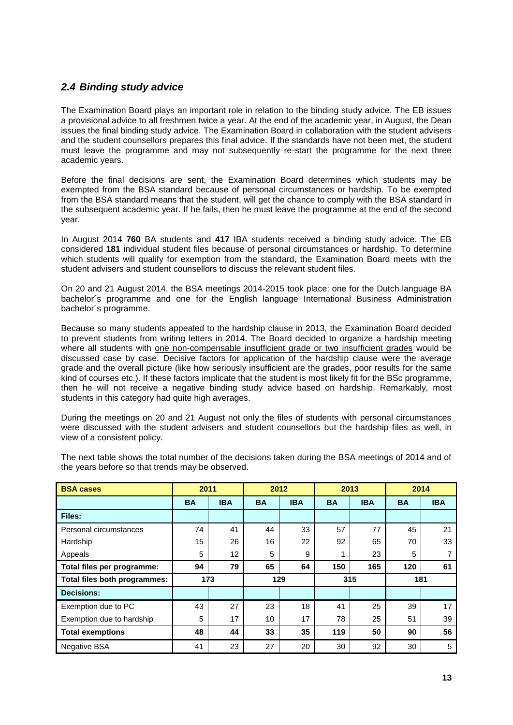## <span id="page-12-0"></span>*2.4 Binding study advice*

The Examination Board plays an important role in relation to the binding study advice. The EB issues a provisional advice to all freshmen twice a year. At the end of the academic year, in August, the Dean issues the final binding study advice. The Examination Board in collaboration with the student advisers and the student counsellors prepares this final advice. If the standards have not been met, the student must leave the programme and may not subsequently re-start the programme for the next three academic years.

Before the final decisions are sent, the Examination Board determines which students may be exempted from the BSA standard because of personal circumstances or hardship. To be exempted from the BSA standard means that the student, will get the chance to comply with the BSA standard in the subsequent academic year. If he fails, then he must leave the programme at the end of the second year.

In August 2014 **760** BA students and **417** IBA students received a binding study advice. The EB considered **181** individual student files because of personal circumstances or hardship. To determine which students will qualify for exemption from the standard, the Examination Board meets with the student advisers and student counsellors to discuss the relevant student files.

On 20 and 21 August 2014, the BSA meetings 2014-2015 took place: one for the Dutch language BA bachelor´s programme and one for the English language International Business Administration bachelor´s programme.

Because so many students appealed to the hardship clause in 2013, the Examination Board decided to prevent students from writing letters in 2014. The Board decided to organize a hardship meeting where all students with one non-compensable insufficient grade or two insufficient grades would be discussed case by case. Decisive factors for application of the hardship clause were the average grade and the overall picture (like how seriously insufficient are the grades, poor results for the same kind of courses etc.). If these factors implicate that the student is most likely fit for the BSc programme, then he will not receive a negative binding study advice based on hardship. Remarkably, most students in this category had quite high averages.

During the meetings on 20 and 21 August not only the files of students with personal circumstances were discussed with the student advisers and student counsellors but the hardship files as well, in view of a consistent policy.

| <b>BSA cases</b>             | 2011      |                   | 2012      |            | 2013      |            | 2014      |            |
|------------------------------|-----------|-------------------|-----------|------------|-----------|------------|-----------|------------|
|                              | <b>BA</b> | <b>IBA</b>        | <b>BA</b> | <b>IBA</b> | <b>BA</b> | <b>IBA</b> | <b>BA</b> | <b>IBA</b> |
| Files:                       |           |                   |           |            |           |            |           |            |
| Personal circumstances       | 74        | 41                | 44        | 33         | 57        | 77         | 45        | 21         |
| Hardship                     | 15        | 26                | 16        | 22         | 92        | 65         | 70        | 33         |
| Appeals                      | 5         | $12 \overline{ }$ | 5         | 9          | ◢         | 23         | 5         | 7          |
| Total files per programme:   | 94        | 79                | 65        | 64         | 150       | 165        | 120       | 61         |
| Total files both programmes: | 173       |                   | 129       |            | 315       |            | 181       |            |
| <b>Decisions:</b>            |           |                   |           |            |           |            |           |            |
| Exemption due to PC          | 43        | 27                | 23        | 18         | 41        | 25         | 39        | 17         |
| Exemption due to hardship    | 5         | 17                | 10        | 17         | 78        | 25         | 51        | 39         |
| <b>Total exemptions</b>      | 48        | 44                | 33        | 35         | 119       | 50         | 90        | 56         |
| <b>Negative BSA</b>          | 41        | 23                | 27        | 20         | 30        | 92         | 30        | 5          |

The next table shows the total number of the decisions taken during the BSA meetings of 2014 and of the years before so that trends may be observed.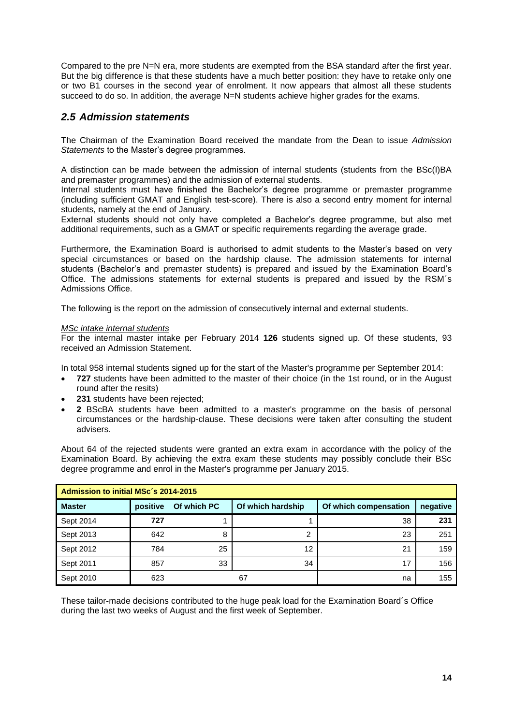Compared to the pre N=N era, more students are exempted from the BSA standard after the first year. But the big difference is that these students have a much better position: they have to retake only one or two B1 courses in the second year of enrolment. It now appears that almost all these students succeed to do so. In addition, the average N=N students achieve higher grades for the exams.

### <span id="page-13-0"></span>*2.5 Admission statements*

The Chairman of the Examination Board received the mandate from the Dean to issue *Admission Statements* to the Master's degree programmes.

A distinction can be made between the admission of internal students (students from the BSc(I)BA and premaster programmes) and the admission of external students.

Internal students must have finished the Bachelor's degree programme or premaster programme (including sufficient GMAT and English test-score). There is also a second entry moment for internal students, namely at the end of January.

External students should not only have completed a Bachelor's degree programme, but also met additional requirements, such as a GMAT or specific requirements regarding the average grade.

Furthermore, the Examination Board is authorised to admit students to the Master's based on very special circumstances or based on the hardship clause. The admission statements for internal students (Bachelor's and premaster students) is prepared and issued by the Examination Board's Office. The admissions statements for external students is prepared and issued by the RSM´s Admissions Office.

The following is the report on the admission of consecutively internal and external students.

#### *MSc intake internal students*

For the internal master intake per February 2014 **126** students signed up. Of these students, 93 received an Admission Statement.

In total 958 internal students signed up for the start of the Master's programme per September 2014:

- **727** students have been admitted to the master of their choice (in the 1st round, or in the August round after the resits)
- **231** students have been rejected;
- **2** BScBA students have been admitted to a master's programme on the basis of personal circumstances or the hardship-clause. These decisions were taken after consulting the student advisers.

About 64 of the rejected students were granted an extra exam in accordance with the policy of the Examination Board. By achieving the extra exam these students may possibly conclude their BSc degree programme and enrol in the Master's programme per January 2015.

| Admission to initial MSc's 2014-2015 |          |             |                   |                       |          |  |  |  |  |  |
|--------------------------------------|----------|-------------|-------------------|-----------------------|----------|--|--|--|--|--|
| <b>Master</b>                        | positive | Of which PC | Of which hardship | Of which compensation | negative |  |  |  |  |  |
| Sept 2014                            | 727      |             |                   | 38                    | 231      |  |  |  |  |  |
| Sept 2013                            | 642      | 8           | ົ                 | 23                    | 251      |  |  |  |  |  |
| Sept 2012                            | 784      | 25          | 12                | 21                    | 159      |  |  |  |  |  |
| Sept 2011                            | 857      | 33          | 34                | 17                    | 156      |  |  |  |  |  |
| Sept 2010                            | 623      |             | 67                | na                    | 155      |  |  |  |  |  |

These tailor-made decisions contributed to the huge peak load for the Examination Board´s Office during the last two weeks of August and the first week of September.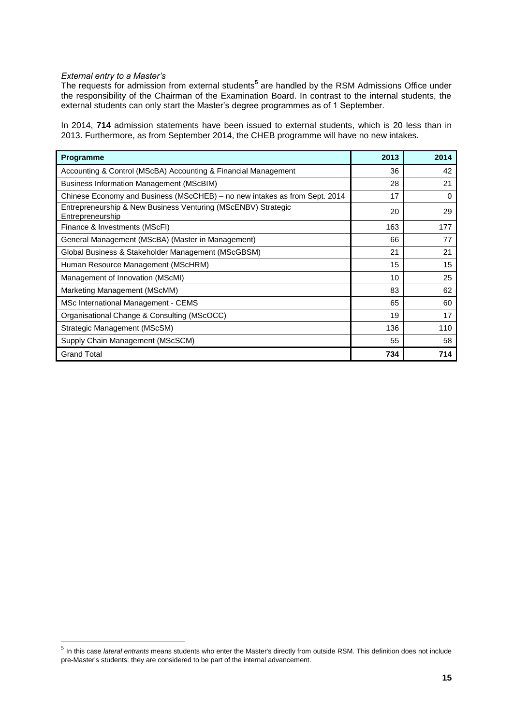#### *External entry to a Master's*

 $\overline{a}$ 

The requests for admission from external students**<sup>5</sup>** are handled by the RSM Admissions Office under the responsibility of the Chairman of the Examination Board. In contrast to the internal students, the external students can only start the Master's degree programmes as of 1 September.

In 2014, **714** admission statements have been issued to external students, which is 20 less than in 2013. Furthermore, as from September 2014, the CHEB programme will have no new intakes.

| Programme                                                                         | 2013 | 2014 |
|-----------------------------------------------------------------------------------|------|------|
| Accounting & Control (MScBA) Accounting & Financial Management                    | 36   | 42   |
| Business Information Management (MScBIM)                                          | 28   | 21   |
| Chinese Economy and Business (MScCHEB) – no new intakes as from Sept. 2014        | 17   | 0    |
| Entrepreneurship & New Business Venturing (MScENBV) Strategic<br>Entrepreneurship | 20   | 29   |
| Finance & Investments (MScFI)                                                     | 163  | 177  |
| General Management (MScBA) (Master in Management)                                 | 66   | 77   |
| Global Business & Stakeholder Management (MScGBSM)                                | 21   | 21   |
| Human Resource Management (MScHRM)                                                | 15   | 15   |
| Management of Innovation (MScMI)                                                  | 10   | 25   |
| Marketing Management (MScMM)                                                      | 83   | 62   |
| MSc International Management - CEMS                                               | 65   | 60   |
| Organisational Change & Consulting (MScOCC)                                       | 19   | 17   |
| Strategic Management (MScSM)                                                      | 136  | 110  |
| Supply Chain Management (MScSCM)                                                  | 55   | 58   |
| <b>Grand Total</b>                                                                | 734  | 714  |

<sup>5</sup> In this case *lateral entrants* means students who enter the Master's directly from outside RSM. This definition does not include pre-Master's students: they are considered to be part of the internal advancement.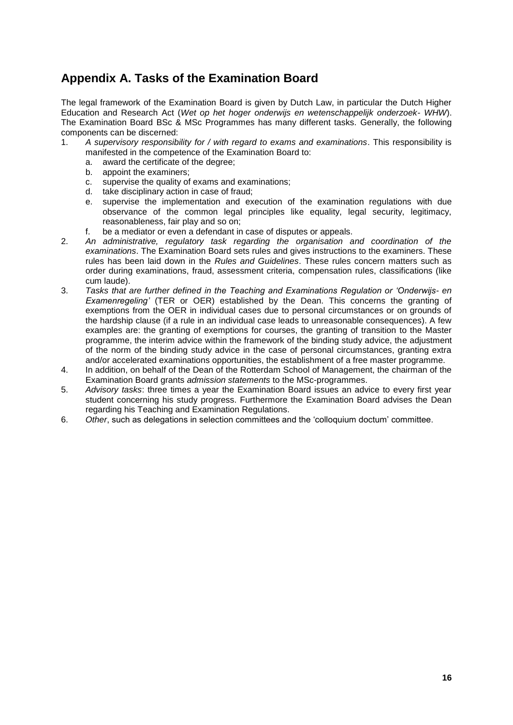# <span id="page-15-0"></span>**Appendix A. Tasks of the Examination Board**

The legal framework of the Examination Board is given by Dutch Law, in particular the Dutch Higher Education and Research Act (*Wet op het hoger onderwijs en wetenschappelijk onderzoek- WHW*). The Examination Board BSc & MSc Programmes has many different tasks. Generally, the following components can be discerned:

- 1. *A supervisory responsibility for / with regard to exams and examinations*. This responsibility is manifested in the competence of the Examination Board to:
	- a. award the certificate of the degree;
	- b. appoint the examiners;
	- c. supervise the quality of exams and examinations;
	- d. take disciplinary action in case of fraud;
	- e. supervise the implementation and execution of the examination regulations with due observance of the common legal principles like equality, legal security, legitimacy, reasonableness, fair play and so on;
	- f. be a mediator or even a defendant in case of disputes or appeals.
- 2. *An administrative, regulatory task regarding the organisation and coordination of the examinations*. The Examination Board sets rules and gives instructions to the examiners. These rules has been laid down in the *Rules and Guidelines*. These rules concern matters such as order during examinations, fraud, assessment criteria, compensation rules, classifications (like cum laude).
- 3. *Tasks that are further defined in the Teaching and Examinations Regulation or 'Onderwijs- en Examenregeling'* (TER or OER) established by the Dean. This concerns the granting of exemptions from the OER in individual cases due to personal circumstances or on grounds of the hardship clause (if a rule in an individual case leads to unreasonable consequences). A few examples are: the granting of exemptions for courses, the granting of transition to the Master programme, the interim advice within the framework of the binding study advice, the adjustment of the norm of the binding study advice in the case of personal circumstances, granting extra and/or accelerated examinations opportunities, the establishment of a free master programme.
- 4. In addition, on behalf of the Dean of the Rotterdam School of Management, the chairman of the Examination Board grants *admission statements* to the MSc-programmes.
- 5. *Advisory tasks*: three times a year the Examination Board issues an advice to every first year student concerning his study progress. Furthermore the Examination Board advises the Dean regarding his Teaching and Examination Regulations.
- 6. *Other*, such as delegations in selection committees and the 'colloquium doctum' committee.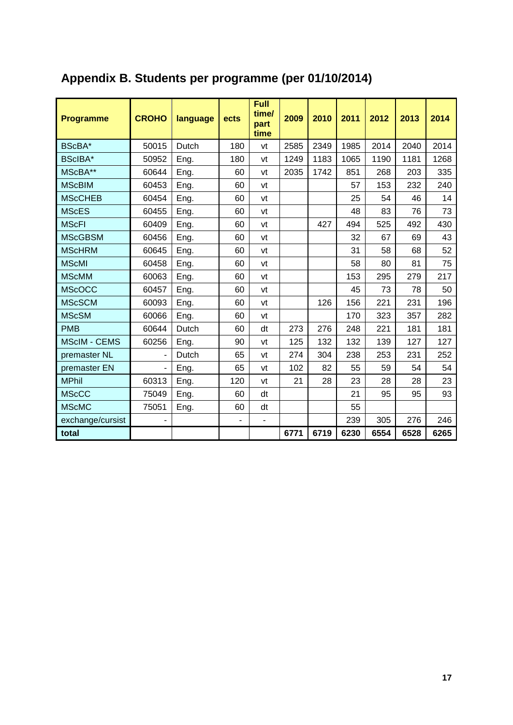| <b>Programme</b>    | <b>CROHO</b>             | language | ects           | <b>Full</b><br>time/<br>part<br>time | 2009 | 2010 | 2011 | 2012 | 2013 | 2014 |
|---------------------|--------------------------|----------|----------------|--------------------------------------|------|------|------|------|------|------|
| BScBA*              | 50015                    | Dutch    | 180            | vt                                   | 2585 | 2349 | 1985 | 2014 | 2040 | 2014 |
| BScIBA*             | 50952                    | Eng.     | 180            | vt                                   | 1249 | 1183 | 1065 | 1190 | 1181 | 1268 |
| MScBA**             | 60644                    | Eng.     | 60             | vt                                   | 2035 | 1742 | 851  | 268  | 203  | 335  |
| <b>MScBIM</b>       | 60453                    | Eng.     | 60             | vt                                   |      |      | 57   | 153  | 232  | 240  |
| <b>MScCHEB</b>      | 60454                    | Eng.     | 60             | vt                                   |      |      | 25   | 54   | 46   | 14   |
| <b>MScES</b>        | 60455                    | Eng.     | 60             | vt                                   |      |      | 48   | 83   | 76   | 73   |
| <b>MScFI</b>        | 60409                    | Eng.     | 60             | vt                                   |      | 427  | 494  | 525  | 492  | 430  |
| <b>MScGBSM</b>      | 60456                    | Eng.     | 60             | vt                                   |      |      | 32   | 67   | 69   | 43   |
| <b>MScHRM</b>       | 60645                    | Eng.     | 60             | vt                                   |      |      | 31   | 58   | 68   | 52   |
| <b>MScMI</b>        | 60458                    | Eng.     | 60             | vt                                   |      |      | 58   | 80   | 81   | 75   |
| <b>MScMM</b>        | 60063                    | Eng.     | 60             | vt                                   |      |      | 153  | 295  | 279  | 217  |
| <b>MScOCC</b>       | 60457                    | Eng.     | 60             | vt                                   |      |      | 45   | 73   | 78   | 50   |
| <b>MScSCM</b>       | 60093                    | Eng.     | 60             | vt                                   |      | 126  | 156  | 221  | 231  | 196  |
| <b>MScSM</b>        | 60066                    | Eng.     | 60             | vt                                   |      |      | 170  | 323  | 357  | 282  |
| <b>PMB</b>          | 60644                    | Dutch    | 60             | dt                                   | 273  | 276  | 248  | 221  | 181  | 181  |
| <b>MScIM - CEMS</b> | 60256                    | Eng.     | 90             | vt                                   | 125  | 132  | 132  | 139  | 127  | 127  |
| premaster NL        | $\blacksquare$           | Dutch    | 65             | vt                                   | 274  | 304  | 238  | 253  | 231  | 252  |
| premaster EN        | ÷,                       | Eng.     | 65             | vt                                   | 102  | 82   | 55   | 59   | 54   | 54   |
| <b>MPhil</b>        | 60313                    | Eng.     | 120            | vt                                   | 21   | 28   | 23   | 28   | 28   | 23   |
| <b>MScCC</b>        | 75049                    | Eng.     | 60             | dt                                   |      |      | 21   | 95   | 95   | 93   |
| <b>MScMC</b>        | 75051                    | Eng.     | 60             | dt                                   |      |      | 55   |      |      |      |
| exchange/cursist    | $\overline{\phantom{a}}$ |          | $\blacksquare$ | $\blacksquare$                       |      |      | 239  | 305  | 276  | 246  |
| total               |                          |          |                |                                      | 6771 | 6719 | 6230 | 6554 | 6528 | 6265 |

# <span id="page-16-0"></span>**Appendix B. Students per programme (per 01/10/2014)**